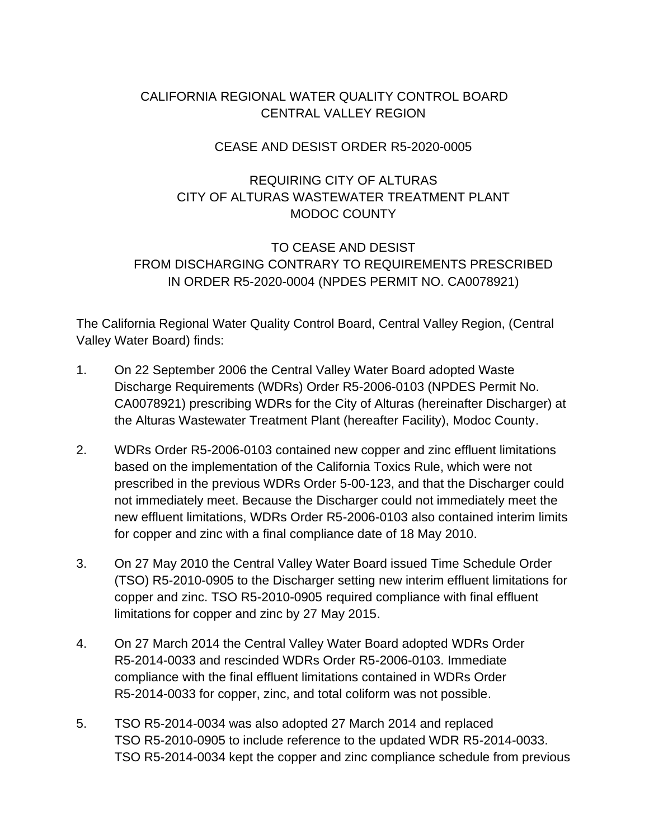# CALIFORNIA REGIONAL WATER QUALITY CONTROL BOARD CENTRAL VALLEY REGION

## CEASE AND DESIST ORDER R5-2020-0005

## REQUIRING CITY OF ALTURAS CITY OF ALTURAS WASTEWATER TREATMENT PLANT MODOC COUNTY

# TO CEASE AND DESIST FROM DISCHARGING CONTRARY TO REQUIREMENTS PRESCRIBED IN ORDER R5-2020-0004 (NPDES PERMIT NO. CA0078921)

The California Regional Water Quality Control Board, Central Valley Region, (Central Valley Water Board) finds:

- 1. On 22 September 2006 the Central Valley Water Board adopted Waste Discharge Requirements (WDRs) Order R5-2006-0103 (NPDES Permit No. CA0078921) prescribing WDRs for the City of Alturas (hereinafter Discharger) at the Alturas Wastewater Treatment Plant (hereafter Facility), Modoc County.
- 2. WDRs Order R5-2006-0103 contained new copper and zinc effluent limitations based on the implementation of the California Toxics Rule, which were not prescribed in the previous WDRs Order 5-00-123, and that the Discharger could not immediately meet. Because the Discharger could not immediately meet the new effluent limitations, WDRs Order R5-2006-0103 also contained interim limits for copper and zinc with a final compliance date of 18 May 2010.
- 3. On 27 May 2010 the Central Valley Water Board issued Time Schedule Order (TSO) R5-2010-0905 to the Discharger setting new interim effluent limitations for copper and zinc. TSO R5-2010-0905 required compliance with final effluent limitations for copper and zinc by 27 May 2015.
- 4. On 27 March 2014 the Central Valley Water Board adopted WDRs Order R5-2014-0033 and rescinded WDRs Order R5-2006-0103. Immediate compliance with the final effluent limitations contained in WDRs Order R5-2014-0033 for copper, zinc, and total coliform was not possible.
- 5. TSO R5-2014-0034 was also adopted 27 March 2014 and replaced TSO R5-2010-0905 to include reference to the updated WDR R5-2014-0033. TSO R5-2014-0034 kept the copper and zinc compliance schedule from previous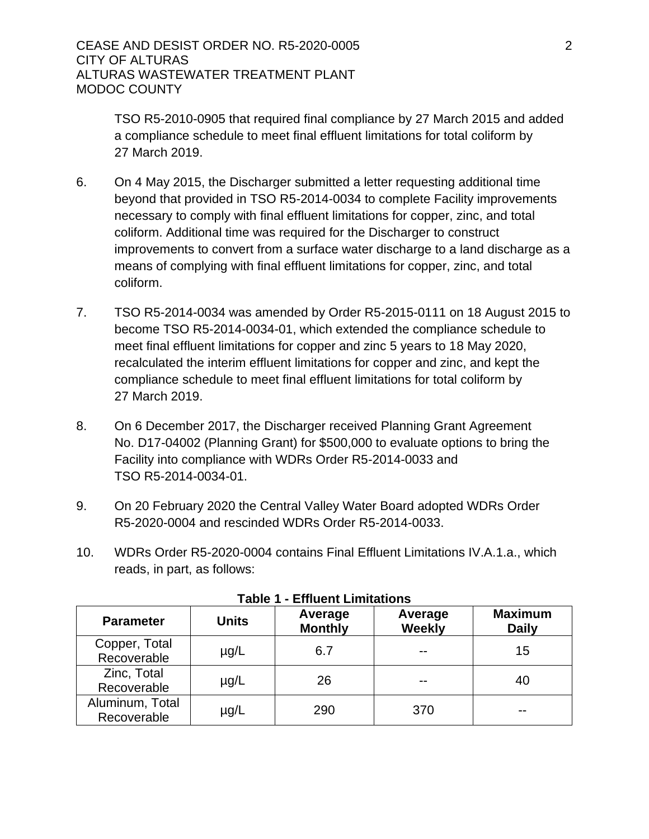TSO R5-2010-0905 that required final compliance by 27 March 2015 and added a compliance schedule to meet final effluent limitations for total coliform by 27 March 2019.

- 6. On 4 May 2015, the Discharger submitted a letter requesting additional time beyond that provided in TSO R5-2014-0034 to complete Facility improvements necessary to comply with final effluent limitations for copper, zinc, and total coliform. Additional time was required for the Discharger to construct improvements to convert from a surface water discharge to a land discharge as a means of complying with final effluent limitations for copper, zinc, and total coliform.
- 7. TSO R5-2014-0034 was amended by Order R5-2015-0111 on 18 August 2015 to become TSO R5-2014-0034-01, which extended the compliance schedule to meet final effluent limitations for copper and zinc 5 years to 18 May 2020, recalculated the interim effluent limitations for copper and zinc, and kept the compliance schedule to meet final effluent limitations for total coliform by 27 March 2019.
- 8. On 6 December 2017, the Discharger received Planning Grant Agreement No. D17-04002 (Planning Grant) for \$500,000 to evaluate options to bring the Facility into compliance with WDRs Order R5-2014-0033 and TSO R5-2014-0034-01.
- 9. On 20 February 2020 the Central Valley Water Board adopted WDRs Order R5-2020-0004 and rescinded WDRs Order R5-2014-0033.
- 10. WDRs Order R5-2020-0004 contains Final Effluent Limitations IV.A.1.a., which reads, in part, as follows:

| <b>Parameter</b>               | <b>Units</b> | Average<br><b>Monthly</b> | Average<br><b>Weekly</b> | <b>Maximum</b><br><b>Daily</b> |
|--------------------------------|--------------|---------------------------|--------------------------|--------------------------------|
| Copper, Total<br>Recoverable   | $\mu$ g/L    | 6.7                       | --                       | 15                             |
| Zinc, Total<br>Recoverable     | $\mu$ g/L    | 26                        |                          | 40                             |
| Aluminum, Total<br>Recoverable | $\mu$ g/L    | 290                       | 370                      |                                |

#### **Table 1 - Effluent Limitations**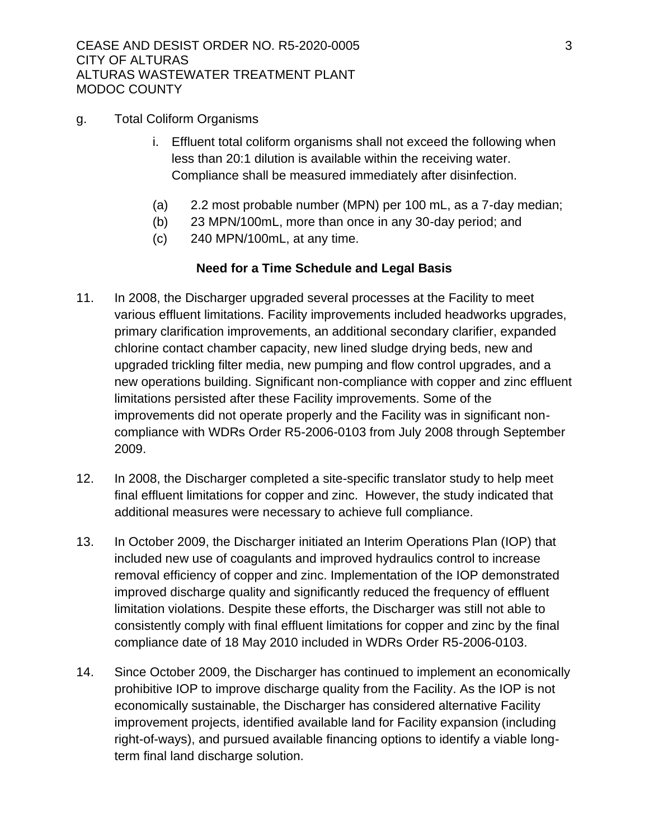- g. Total Coliform Organisms
	- i. Effluent total coliform organisms shall not exceed the following when less than 20:1 dilution is available within the receiving water. Compliance shall be measured immediately after disinfection.
	- (a) 2.2 most probable number (MPN) per 100 mL, as a 7-day median;
	- (b) 23 MPN/100mL, more than once in any 30-day period; and
	- (c) 240 MPN/100mL, at any time.

### **Need for a Time Schedule and Legal Basis**

- 11. In 2008, the Discharger upgraded several processes at the Facility to meet various effluent limitations. Facility improvements included headworks upgrades, primary clarification improvements, an additional secondary clarifier, expanded chlorine contact chamber capacity, new lined sludge drying beds, new and upgraded trickling filter media, new pumping and flow control upgrades, and a new operations building. Significant non-compliance with copper and zinc effluent limitations persisted after these Facility improvements. Some of the improvements did not operate properly and the Facility was in significant noncompliance with WDRs Order R5-2006-0103 from July 2008 through September 2009.
- 12. In 2008, the Discharger completed a site-specific translator study to help meet final effluent limitations for copper and zinc. However, the study indicated that additional measures were necessary to achieve full compliance.
- 13. In October 2009, the Discharger initiated an Interim Operations Plan (IOP) that included new use of coagulants and improved hydraulics control to increase removal efficiency of copper and zinc. Implementation of the IOP demonstrated improved discharge quality and significantly reduced the frequency of effluent limitation violations. Despite these efforts, the Discharger was still not able to consistently comply with final effluent limitations for copper and zinc by the final compliance date of 18 May 2010 included in WDRs Order R5-2006-0103.
- 14. Since October 2009, the Discharger has continued to implement an economically prohibitive IOP to improve discharge quality from the Facility. As the IOP is not economically sustainable, the Discharger has considered alternative Facility improvement projects, identified available land for Facility expansion (including right-of-ways), and pursued available financing options to identify a viable longterm final land discharge solution.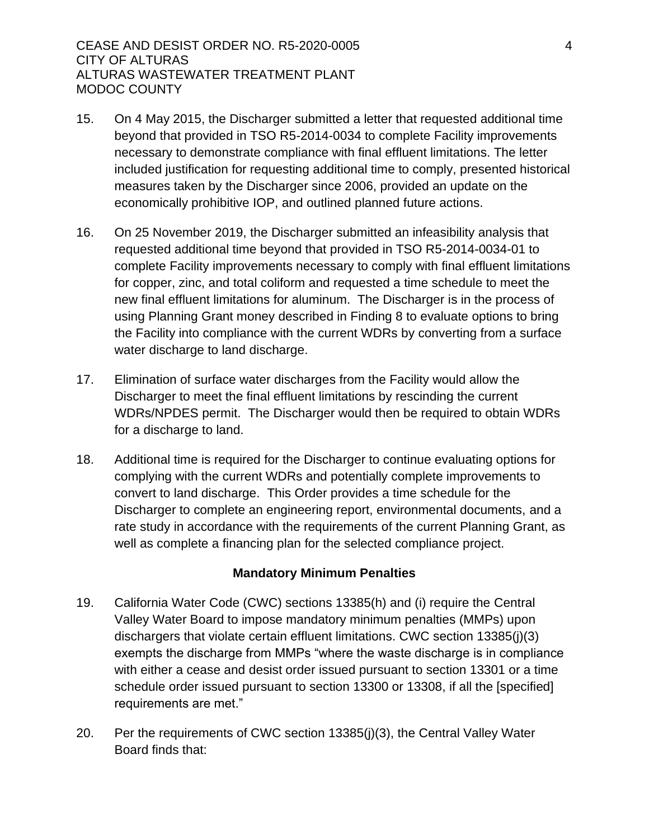- 15. On 4 May 2015, the Discharger submitted a letter that requested additional time beyond that provided in TSO R5-2014-0034 to complete Facility improvements necessary to demonstrate compliance with final effluent limitations. The letter included justification for requesting additional time to comply, presented historical measures taken by the Discharger since 2006, provided an update on the economically prohibitive IOP, and outlined planned future actions.
- 16. On 25 November 2019, the Discharger submitted an infeasibility analysis that requested additional time beyond that provided in TSO R5-2014-0034-01 to complete Facility improvements necessary to comply with final effluent limitations for copper, zinc, and total coliform and requested a time schedule to meet the new final effluent limitations for aluminum. The Discharger is in the process of using Planning Grant money described in Finding 8 to evaluate options to bring the Facility into compliance with the current WDRs by converting from a surface water discharge to land discharge.
- 17. Elimination of surface water discharges from the Facility would allow the Discharger to meet the final effluent limitations by rescinding the current WDRs/NPDES permit. The Discharger would then be required to obtain WDRs for a discharge to land.
- 18. Additional time is required for the Discharger to continue evaluating options for complying with the current WDRs and potentially complete improvements to convert to land discharge. This Order provides a time schedule for the Discharger to complete an engineering report, environmental documents, and a rate study in accordance with the requirements of the current Planning Grant, as well as complete a financing plan for the selected compliance project.

### **Mandatory Minimum Penalties**

- 19. California Water Code (CWC) sections 13385(h) and (i) require the Central Valley Water Board to impose mandatory minimum penalties (MMPs) upon dischargers that violate certain effluent limitations. CWC section 13385(j)(3) exempts the discharge from MMPs "where the waste discharge is in compliance with either a cease and desist order issued pursuant to section 13301 or a time schedule order issued pursuant to section 13300 or 13308, if all the [specified] requirements are met."
- 20. Per the requirements of CWC section 13385(j)(3), the Central Valley Water Board finds that: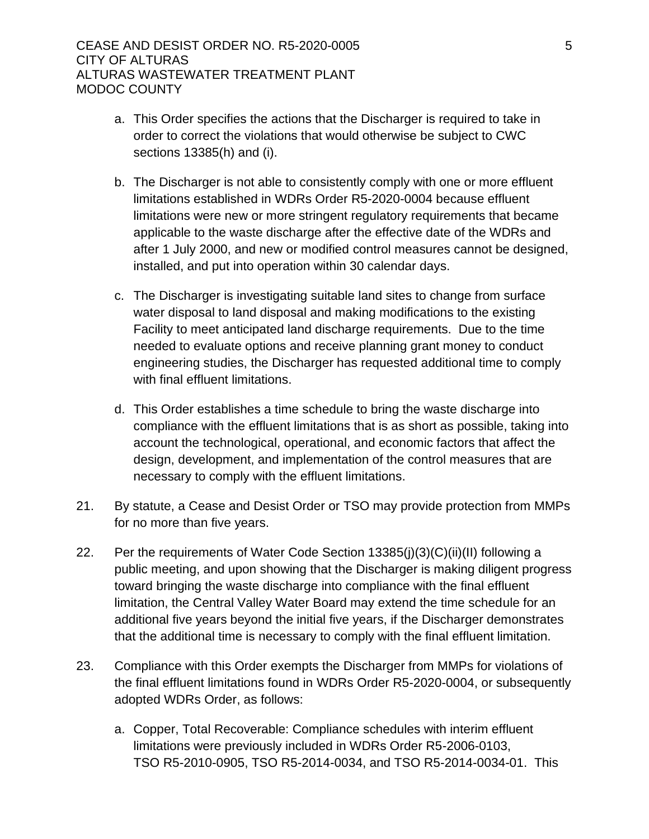- a. This Order specifies the actions that the Discharger is required to take in order to correct the violations that would otherwise be subject to CWC sections 13385(h) and (i).
- b. The Discharger is not able to consistently comply with one or more effluent limitations established in WDRs Order R5-2020-0004 because effluent limitations were new or more stringent regulatory requirements that became applicable to the waste discharge after the effective date of the WDRs and after 1 July 2000, and new or modified control measures cannot be designed, installed, and put into operation within 30 calendar days.
- c. The Discharger is investigating suitable land sites to change from surface water disposal to land disposal and making modifications to the existing Facility to meet anticipated land discharge requirements. Due to the time needed to evaluate options and receive planning grant money to conduct engineering studies, the Discharger has requested additional time to comply with final effluent limitations.
- d. This Order establishes a time schedule to bring the waste discharge into compliance with the effluent limitations that is as short as possible, taking into account the technological, operational, and economic factors that affect the design, development, and implementation of the control measures that are necessary to comply with the effluent limitations.
- 21. By statute, a Cease and Desist Order or TSO may provide protection from MMPs for no more than five years.
- 22. Per the requirements of Water Code Section 13385(j)(3)(C)(ii)(II) following a public meeting, and upon showing that the Discharger is making diligent progress toward bringing the waste discharge into compliance with the final effluent limitation, the Central Valley Water Board may extend the time schedule for an additional five years beyond the initial five years, if the Discharger demonstrates that the additional time is necessary to comply with the final effluent limitation.
- 23. Compliance with this Order exempts the Discharger from MMPs for violations of the final effluent limitations found in WDRs Order R5-2020-0004, or subsequently adopted WDRs Order, as follows:
	- a. Copper, Total Recoverable: Compliance schedules with interim effluent limitations were previously included in WDRs Order R5-2006-0103, TSO R5-2010-0905, TSO R5-2014-0034, and TSO R5-2014-0034-01. This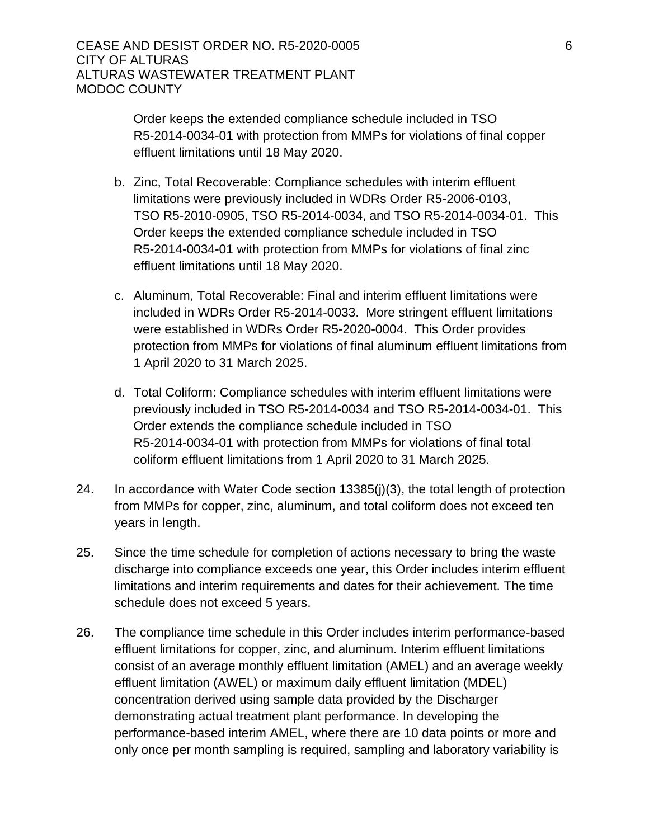Order keeps the extended compliance schedule included in TSO R5-2014-0034-01 with protection from MMPs for violations of final copper effluent limitations until 18 May 2020.

- b. Zinc, Total Recoverable: Compliance schedules with interim effluent limitations were previously included in WDRs Order R5-2006-0103, TSO R5-2010-0905, TSO R5-2014-0034, and TSO R5-2014-0034-01. This Order keeps the extended compliance schedule included in TSO R5-2014-0034-01 with protection from MMPs for violations of final zinc effluent limitations until 18 May 2020.
- c. Aluminum, Total Recoverable: Final and interim effluent limitations were included in WDRs Order R5-2014-0033. More stringent effluent limitations were established in WDRs Order R5-2020-0004. This Order provides protection from MMPs for violations of final aluminum effluent limitations from 1 April 2020 to 31 March 2025.
- d. Total Coliform: Compliance schedules with interim effluent limitations were previously included in TSO R5-2014-0034 and TSO R5-2014-0034-01. This Order extends the compliance schedule included in TSO R5-2014-0034-01 with protection from MMPs for violations of final total coliform effluent limitations from 1 April 2020 to 31 March 2025.
- 24. In accordance with Water Code section 13385(j)(3), the total length of protection from MMPs for copper, zinc, aluminum, and total coliform does not exceed ten years in length.
- 25. Since the time schedule for completion of actions necessary to bring the waste discharge into compliance exceeds one year, this Order includes interim effluent limitations and interim requirements and dates for their achievement. The time schedule does not exceed 5 years.
- 26. The compliance time schedule in this Order includes interim performance-based effluent limitations for copper, zinc, and aluminum. Interim effluent limitations consist of an average monthly effluent limitation (AMEL) and an average weekly effluent limitation (AWEL) or maximum daily effluent limitation (MDEL) concentration derived using sample data provided by the Discharger demonstrating actual treatment plant performance. In developing the performance-based interim AMEL, where there are 10 data points or more and only once per month sampling is required, sampling and laboratory variability is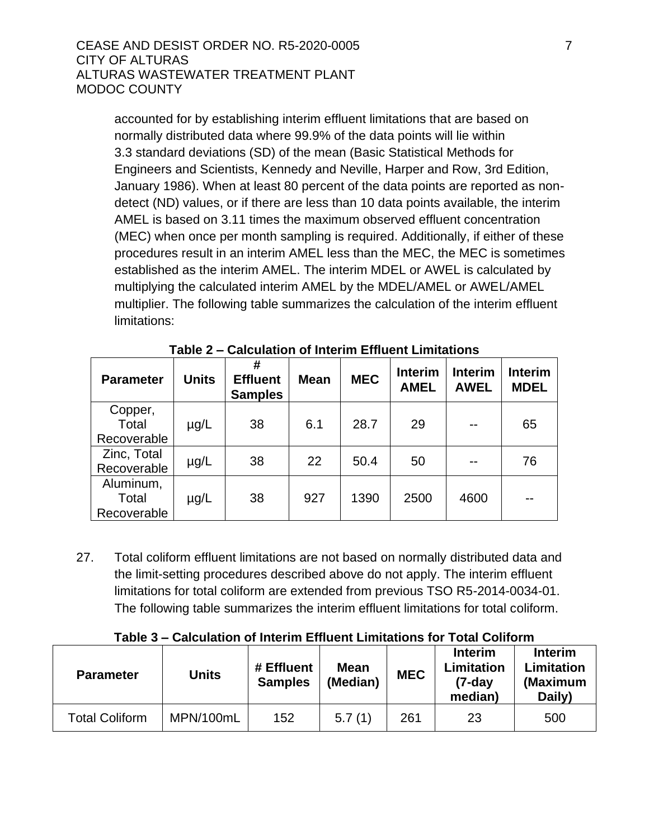accounted for by establishing interim effluent limitations that are based on normally distributed data where 99.9% of the data points will lie within 3.3 standard deviations (SD) of the mean (Basic Statistical Methods for Engineers and Scientists, Kennedy and Neville, Harper and Row, 3rd Edition, January 1986). When at least 80 percent of the data points are reported as nondetect (ND) values, or if there are less than 10 data points available, the interim AMEL is based on 3.11 times the maximum observed effluent concentration (MEC) when once per month sampling is required. Additionally, if either of these procedures result in an interim AMEL less than the MEC, the MEC is sometimes established as the interim AMEL. The interim MDEL or AWEL is calculated by multiplying the calculated interim AMEL by the MDEL/AMEL or AWEL/AMEL multiplier. The following table summarizes the calculation of the interim effluent limitations:

| <b>Parameter</b> | <b>Units</b> | #<br><b>Effluent</b><br><b>Samples</b> | <b>Mean</b> | <b>MEC</b> | <b>Interim</b><br><b>AMEL</b> | <b>Interim</b><br><b>AWEL</b> | <b>Interim</b><br><b>MDEL</b> |
|------------------|--------------|----------------------------------------|-------------|------------|-------------------------------|-------------------------------|-------------------------------|
| Copper,          |              |                                        |             |            |                               |                               |                               |
| Total            | $\mu$ g/L    | 38                                     | 6.1         | 28.7       | 29                            |                               | 65                            |
| Recoverable      |              |                                        |             |            |                               |                               |                               |
| Zinc, Total      | $\mu$ g/L    | 38                                     | 22          | 50.4       | 50                            |                               | 76                            |
| Recoverable      |              |                                        |             |            |                               |                               |                               |
| Aluminum,        |              |                                        |             |            |                               |                               |                               |
| Total            | $\mu$ g/L    | 38                                     | 927         | 1390       | 2500                          | 4600                          |                               |
| Recoverable      |              |                                        |             |            |                               |                               |                               |

**Table 2 – Calculation of Interim Effluent Limitations** 

27. Total coliform effluent limitations are not based on normally distributed data and the limit-setting procedures described above do not apply. The interim effluent limitations for total coliform are extended from previous TSO R5-2014-0034-01. The following table summarizes the interim effluent limitations for total coliform.

### **Table 3 – Calculation of Interim Effluent Limitations for Total Coliform**

| <b>Parameter</b>      | <b>Units</b> | # Effluent<br><b>Samples</b> | <b>Mean</b><br>(Median) | <b>MEC</b> | <b>Interim</b><br>Limitation<br>(7-day<br>median) | <b>Interim</b><br>Limitation<br>(Maximum<br>Daily) |
|-----------------------|--------------|------------------------------|-------------------------|------------|---------------------------------------------------|----------------------------------------------------|
| <b>Total Coliform</b> | MPN/100mL    | 152                          | 5.7(1)                  | 261        | 23                                                | 500                                                |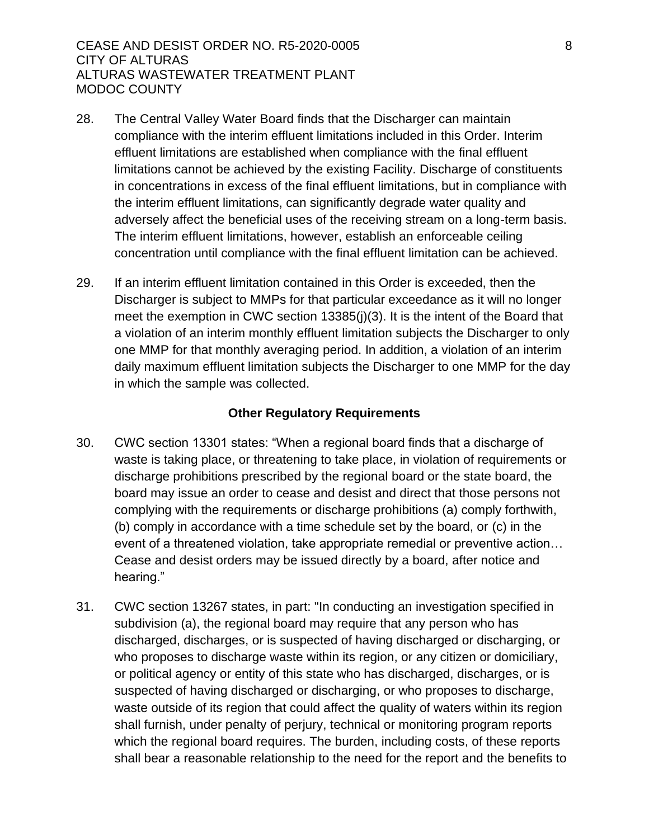- 28. The Central Valley Water Board finds that the Discharger can maintain compliance with the interim effluent limitations included in this Order. Interim effluent limitations are established when compliance with the final effluent limitations cannot be achieved by the existing Facility. Discharge of constituents in concentrations in excess of the final effluent limitations, but in compliance with the interim effluent limitations, can significantly degrade water quality and adversely affect the beneficial uses of the receiving stream on a long-term basis. The interim effluent limitations, however, establish an enforceable ceiling concentration until compliance with the final effluent limitation can be achieved.
- 29. If an interim effluent limitation contained in this Order is exceeded, then the Discharger is subject to MMPs for that particular exceedance as it will no longer meet the exemption in CWC section 13385(j)(3). It is the intent of the Board that a violation of an interim monthly effluent limitation subjects the Discharger to only one MMP for that monthly averaging period. In addition, a violation of an interim daily maximum effluent limitation subjects the Discharger to one MMP for the day in which the sample was collected.

### **Other Regulatory Requirements**

- 30. CWC section 13301 states: "When a regional board finds that a discharge of waste is taking place, or threatening to take place, in violation of requirements or discharge prohibitions prescribed by the regional board or the state board, the board may issue an order to cease and desist and direct that those persons not complying with the requirements or discharge prohibitions (a) comply forthwith, (b) comply in accordance with a time schedule set by the board, or (c) in the event of a threatened violation, take appropriate remedial or preventive action… Cease and desist orders may be issued directly by a board, after notice and hearing."
- 31. CWC section 13267 states, in part: "In conducting an investigation specified in subdivision (a), the regional board may require that any person who has discharged, discharges, or is suspected of having discharged or discharging, or who proposes to discharge waste within its region, or any citizen or domiciliary, or political agency or entity of this state who has discharged, discharges, or is suspected of having discharged or discharging, or who proposes to discharge, waste outside of its region that could affect the quality of waters within its region shall furnish, under penalty of perjury, technical or monitoring program reports which the regional board requires. The burden, including costs, of these reports shall bear a reasonable relationship to the need for the report and the benefits to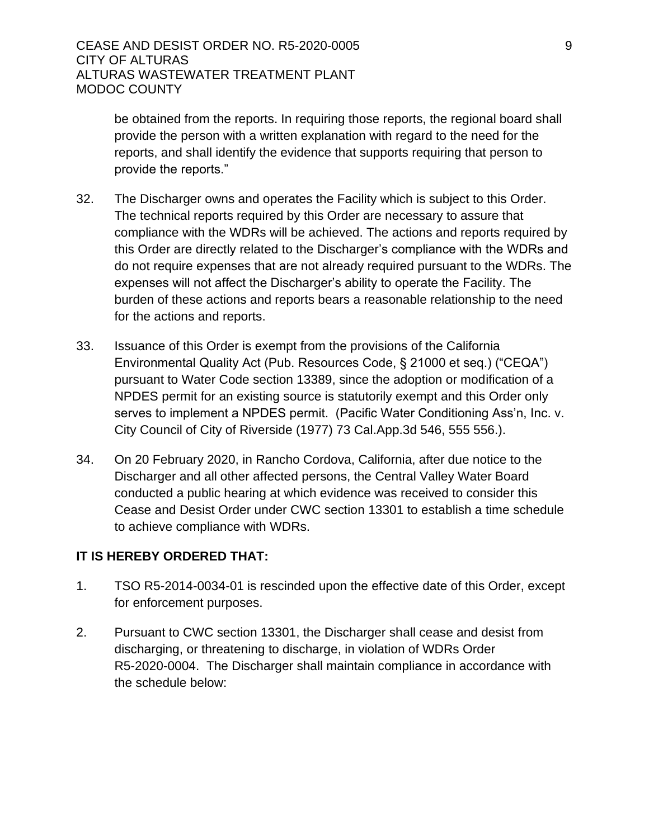be obtained from the reports. In requiring those reports, the regional board shall provide the person with a written explanation with regard to the need for the reports, and shall identify the evidence that supports requiring that person to provide the reports."

- 32. The Discharger owns and operates the Facility which is subject to this Order. The technical reports required by this Order are necessary to assure that compliance with the WDRs will be achieved. The actions and reports required by this Order are directly related to the Discharger's compliance with the WDRs and do not require expenses that are not already required pursuant to the WDRs. The expenses will not affect the Discharger's ability to operate the Facility. The burden of these actions and reports bears a reasonable relationship to the need for the actions and reports.
- 33. Issuance of this Order is exempt from the provisions of the California Environmental Quality Act (Pub. Resources Code, § 21000 et seq.) ("CEQA") pursuant to Water Code section 13389, since the adoption or modification of a NPDES permit for an existing source is statutorily exempt and this Order only serves to implement a NPDES permit. (Pacific Water Conditioning Ass'n, Inc. v. City Council of City of Riverside (1977) 73 Cal.App.3d 546, 555 556.).
- 34. On 20 February 2020, in Rancho Cordova, California, after due notice to the Discharger and all other affected persons, the Central Valley Water Board conducted a public hearing at which evidence was received to consider this Cease and Desist Order under CWC section 13301 to establish a time schedule to achieve compliance with WDRs.

### **IT IS HEREBY ORDERED THAT:**

- 1. TSO R5-2014-0034-01 is rescinded upon the effective date of this Order, except for enforcement purposes.
- 2. Pursuant to CWC section 13301, the Discharger shall cease and desist from discharging, or threatening to discharge, in violation of WDRs Order R5-2020-0004. The Discharger shall maintain compliance in accordance with the schedule below: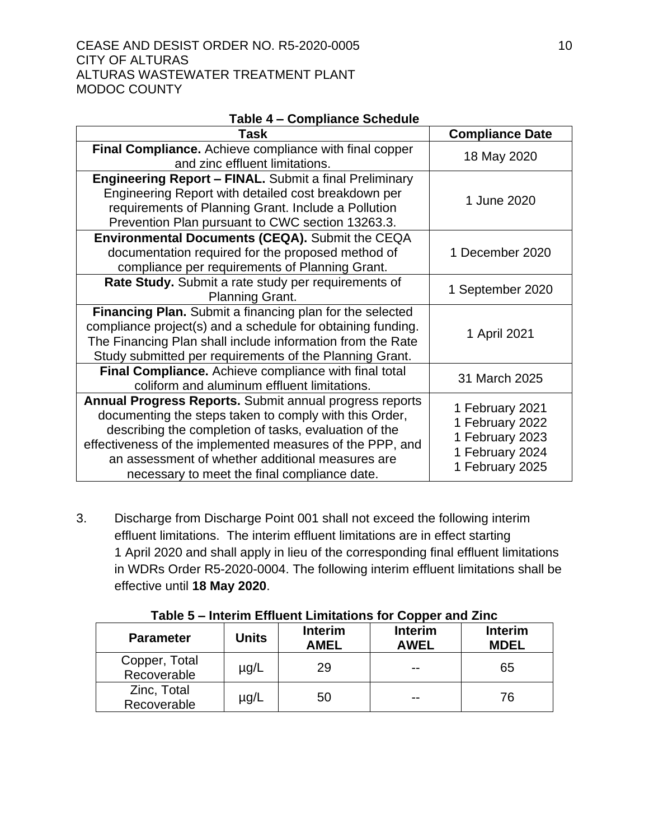### CEASE AND DESIST ORDER NO. R5-2020-0005 10 CITY OF ALTURAS ALTURAS WASTEWATER TREATMENT PLANT MODOC COUNTY

|  | Table 4 - Compliance Schedule |
|--|-------------------------------|
|--|-------------------------------|

| Task                                                                                                                                                                                                                                                                                                                                        | <b>Compliance Date</b>                                                                      |  |
|---------------------------------------------------------------------------------------------------------------------------------------------------------------------------------------------------------------------------------------------------------------------------------------------------------------------------------------------|---------------------------------------------------------------------------------------------|--|
| <b>Final Compliance.</b> Achieve compliance with final copper<br>and zinc effluent limitations.                                                                                                                                                                                                                                             | 18 May 2020                                                                                 |  |
| <b>Engineering Report - FINAL.</b> Submit a final Preliminary<br>Engineering Report with detailed cost breakdown per<br>requirements of Planning Grant. Include a Pollution<br>Prevention Plan pursuant to CWC section 13263.3.                                                                                                             | 1 June 2020                                                                                 |  |
| <b>Environmental Documents (CEQA).</b> Submit the CEQA<br>documentation required for the proposed method of<br>compliance per requirements of Planning Grant.                                                                                                                                                                               | 1 December 2020                                                                             |  |
| Rate Study. Submit a rate study per requirements of<br><b>Planning Grant.</b>                                                                                                                                                                                                                                                               | 1 September 2020                                                                            |  |
| Financing Plan. Submit a financing plan for the selected<br>compliance project(s) and a schedule for obtaining funding.<br>The Financing Plan shall include information from the Rate<br>Study submitted per requirements of the Planning Grant.                                                                                            | 1 April 2021                                                                                |  |
| Final Compliance. Achieve compliance with final total<br>coliform and aluminum effluent limitations.                                                                                                                                                                                                                                        | 31 March 2025                                                                               |  |
| Annual Progress Reports. Submit annual progress reports<br>documenting the steps taken to comply with this Order,<br>describing the completion of tasks, evaluation of the<br>effectiveness of the implemented measures of the PPP, and<br>an assessment of whether additional measures are<br>necessary to meet the final compliance date. | 1 February 2021<br>1 February 2022<br>1 February 2023<br>1 February 2024<br>1 February 2025 |  |

3. Discharge from Discharge Point 001 shall not exceed the following interim effluent limitations. The interim effluent limitations are in effect starting 1 April 2020 and shall apply in lieu of the corresponding final effluent limitations in WDRs Order R5-2020-0004. The following interim effluent limitations shall be effective until **18 May 2020**.

| .                            |           |                               |                               |                               |  |  |
|------------------------------|-----------|-------------------------------|-------------------------------|-------------------------------|--|--|
| <b>Parameter</b>             | Units     | <b>Interim</b><br><b>AMEL</b> | <b>Interim</b><br><b>AWEL</b> | <b>Interim</b><br><b>MDEL</b> |  |  |
| Copper, Total<br>Recoverable | $\mu$ g/L | 29                            | --                            | 65                            |  |  |
| Zinc, Total<br>Recoverable   | $\mu$ g/L | 50                            | $- -$                         | 76                            |  |  |

**Table 5 – Interim Effluent Limitations for Copper and Zinc**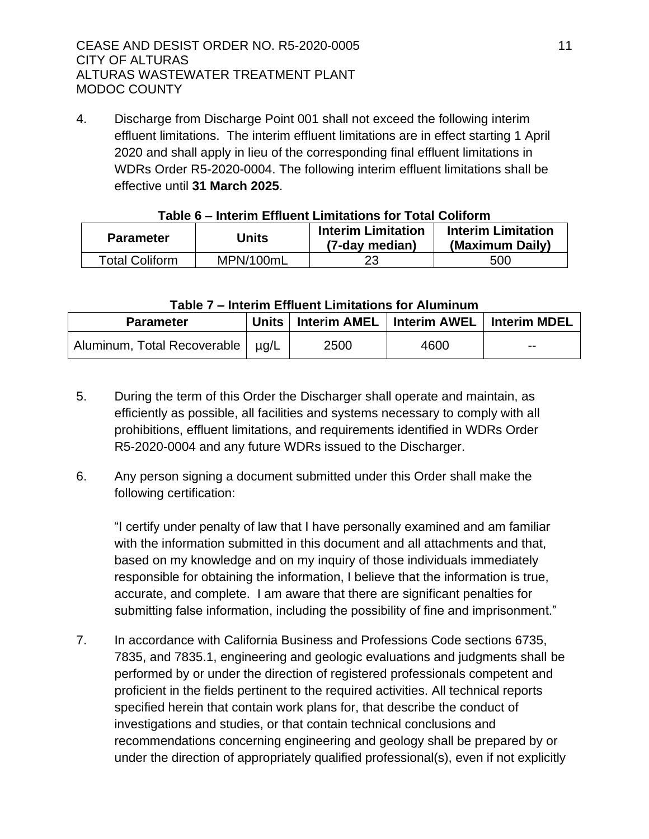4. Discharge from Discharge Point 001 shall not exceed the following interim effluent limitations. The interim effluent limitations are in effect starting 1 April 2020 and shall apply in lieu of the corresponding final effluent limitations in WDRs Order R5-2020-0004. The following interim effluent limitations shall be effective until **31 March 2025**.

| Units                 |           | <b>Interim Limitation</b> | <b>Interim Limitation</b> |  |
|-----------------------|-----------|---------------------------|---------------------------|--|
| <b>Parameter</b>      |           | (7-day median)            | (Maximum Daily)           |  |
| <b>Total Coliform</b> | MPN/100mL | 23                        | 500                       |  |

### **Table 6 – Interim Effluent Limitations for Total Coliform**

### **Table 7 – Interim Effluent Limitations for Aluminum**

| <b>Parameter</b>                   | <b>Units</b> | <b>Interim AMEL</b> | <b>Interim AWEL</b> | <b>Interim MDEL</b> |
|------------------------------------|--------------|---------------------|---------------------|---------------------|
| Aluminum, Total Recoverable   µg/L |              | 2500                | 4600                | $- -$               |

- 5. During the term of this Order the Discharger shall operate and maintain, as efficiently as possible, all facilities and systems necessary to comply with all prohibitions, effluent limitations, and requirements identified in WDRs Order R5-2020-0004 and any future WDRs issued to the Discharger.
- 6. Any person signing a document submitted under this Order shall make the following certification:

"I certify under penalty of law that I have personally examined and am familiar with the information submitted in this document and all attachments and that, based on my knowledge and on my inquiry of those individuals immediately responsible for obtaining the information, I believe that the information is true, accurate, and complete. I am aware that there are significant penalties for submitting false information, including the possibility of fine and imprisonment."

7. In accordance with California Business and Professions Code sections 6735, 7835, and 7835.1, engineering and geologic evaluations and judgments shall be performed by or under the direction of registered professionals competent and proficient in the fields pertinent to the required activities. All technical reports specified herein that contain work plans for, that describe the conduct of investigations and studies, or that contain technical conclusions and recommendations concerning engineering and geology shall be prepared by or under the direction of appropriately qualified professional(s), even if not explicitly